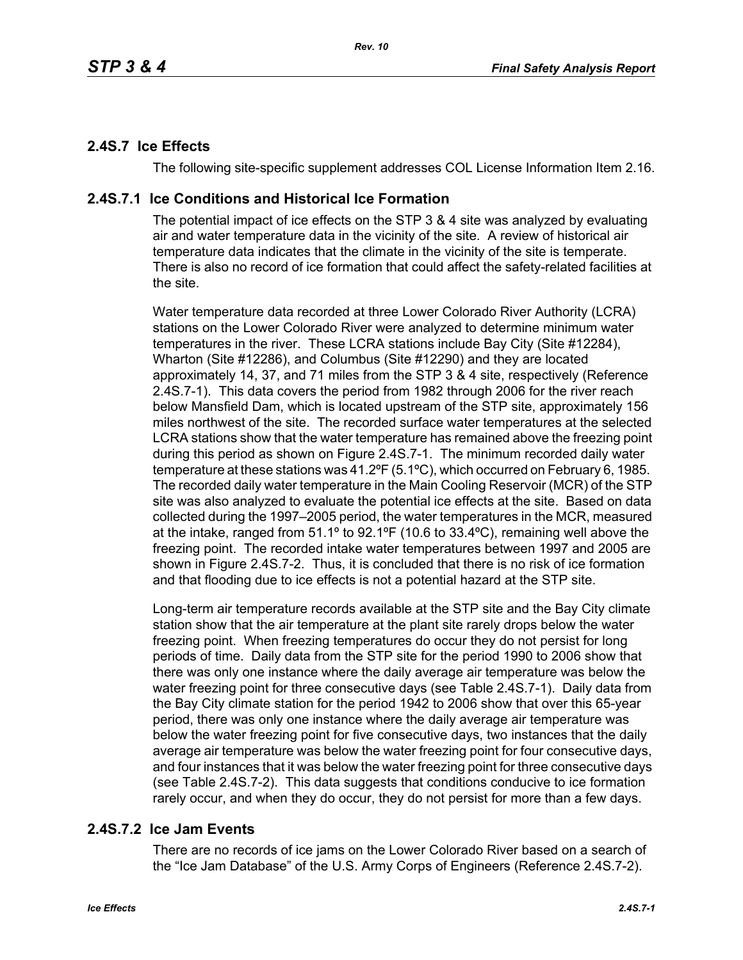# **2.4S.7 Ice Effects**

The following site-specific supplement addresses COL License Information Item 2.16.

## **2.4S.7.1 Ice Conditions and Historical Ice Formation**

The potential impact of ice effects on the STP 3 & 4 site was analyzed by evaluating air and water temperature data in the vicinity of the site. A review of historical air temperature data indicates that the climate in the vicinity of the site is temperate. There is also no record of ice formation that could affect the safety-related facilities at the site.

Water temperature data recorded at three Lower Colorado River Authority (LCRA) stations on the Lower Colorado River were analyzed to determine minimum water temperatures in the river. These LCRA stations include Bay City (Site #12284), Wharton (Site #12286), and Columbus (Site #12290) and they are located approximately 14, 37, and 71 miles from the STP 3 & 4 site, respectively (Reference 2.4S.7-1). This data covers the period from 1982 through 2006 for the river reach below Mansfield Dam, which is located upstream of the STP site, approximately 156 miles northwest of the site. The recorded surface water temperatures at the selected LCRA stations show that the water temperature has remained above the freezing point during this period as shown on Figure 2.4S.7-1. The minimum recorded daily water temperature at these stations was 41.2ºF (5.1ºC), which occurred on February 6, 1985. The recorded daily water temperature in the Main Cooling Reservoir (MCR) of the STP site was also analyzed to evaluate the potential ice effects at the site. Based on data collected during the 1997–2005 period, the water temperatures in the MCR, measured at the intake, ranged from 51.1º to 92.1ºF (10.6 to 33.4ºC), remaining well above the freezing point. The recorded intake water temperatures between 1997 and 2005 are shown in Figure 2.4S.7-2. Thus, it is concluded that there is no risk of ice formation and that flooding due to ice effects is not a potential hazard at the STP site.

Long-term air temperature records available at the STP site and the Bay City climate station show that the air temperature at the plant site rarely drops below the water freezing point. When freezing temperatures do occur they do not persist for long periods of time. Daily data from the STP site for the period 1990 to 2006 show that there was only one instance where the daily average air temperature was below the water freezing point for three consecutive days (see Table 2.4S.7-1). Daily data from the Bay City climate station for the period 1942 to 2006 show that over this 65-year period, there was only one instance where the daily average air temperature was below the water freezing point for five consecutive days, two instances that the daily average air temperature was below the water freezing point for four consecutive days, and four instances that it was below the water freezing point for three consecutive days (see Table 2.4S.7-2). This data suggests that conditions conducive to ice formation rarely occur, and when they do occur, they do not persist for more than a few days.

# **2.4S.7.2 Ice Jam Events**

There are no records of ice jams on the Lower Colorado River based on a search of the "Ice Jam Database" of the U.S. Army Corps of Engineers (Reference 2.4S.7-2).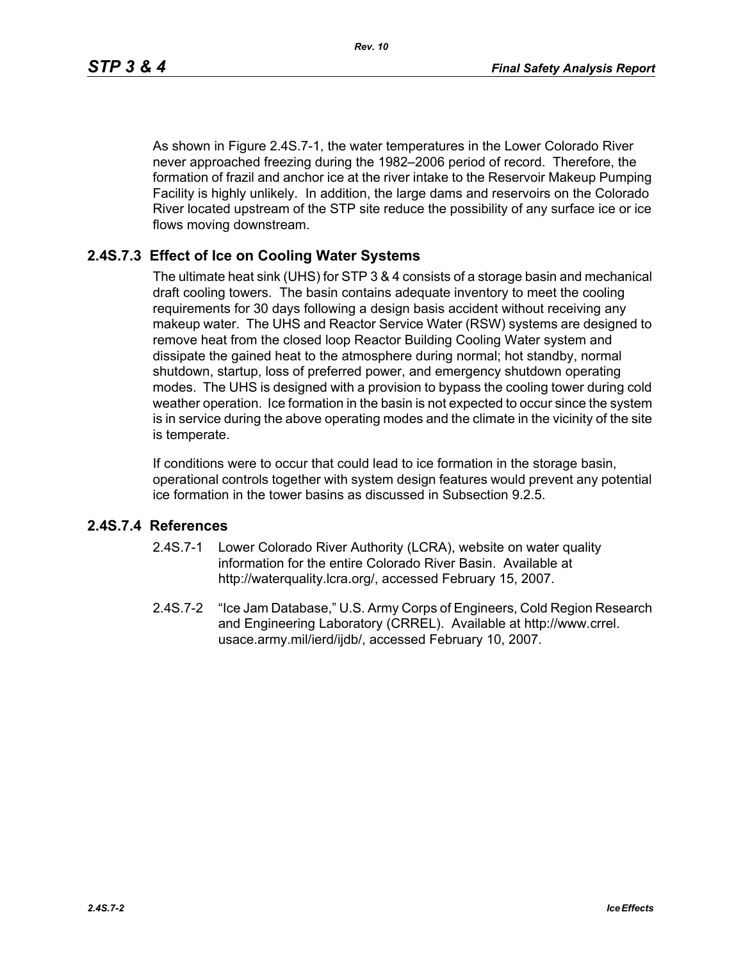As shown in Figure 2.4S.7-1, the water temperatures in the Lower Colorado River never approached freezing during the 1982–2006 period of record. Therefore, the formation of frazil and anchor ice at the river intake to the Reservoir Makeup Pumping Facility is highly unlikely. In addition, the large dams and reservoirs on the Colorado River located upstream of the STP site reduce the possibility of any surface ice or ice flows moving downstream.

## **2.4S.7.3 Effect of Ice on Cooling Water Systems**

The ultimate heat sink (UHS) for STP 3 & 4 consists of a storage basin and mechanical draft cooling towers. The basin contains adequate inventory to meet the cooling requirements for 30 days following a design basis accident without receiving any makeup water. The UHS and Reactor Service Water (RSW) systems are designed to remove heat from the closed loop Reactor Building Cooling Water system and dissipate the gained heat to the atmosphere during normal; hot standby, normal shutdown, startup, loss of preferred power, and emergency shutdown operating modes. The UHS is designed with a provision to bypass the cooling tower during cold weather operation. Ice formation in the basin is not expected to occur since the system is in service during the above operating modes and the climate in the vicinity of the site is temperate.

If conditions were to occur that could lead to ice formation in the storage basin, operational controls together with system design features would prevent any potential ice formation in the tower basins as discussed in Subsection 9.2.5.

### **2.4S.7.4 References**

- 2.4S.7-1 Lower Colorado River Authority (LCRA), website on water quality information for the entire Colorado River Basin. Available at http://waterquality.lcra.org/, accessed February 15, 2007.
- 2.4S.7-2 "Ice Jam Database," U.S. Army Corps of Engineers, Cold Region Research and Engineering Laboratory (CRREL). Available at http://www.crrel. usace.army.mil/ierd/ijdb/, accessed February 10, 2007.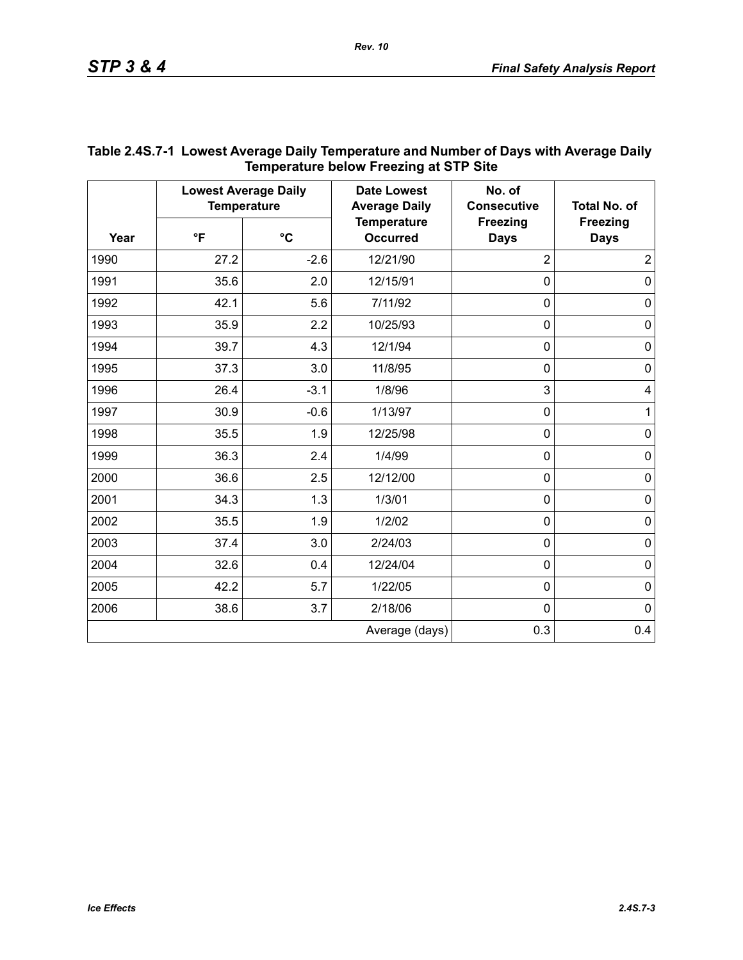| Year | <b>Lowest Average Daily</b><br><b>Temperature</b> |                 | <b>Date Lowest</b><br><b>Average Daily</b> | No. of<br><b>Consecutive</b>   | <b>Total No. of</b>            |
|------|---------------------------------------------------|-----------------|--------------------------------------------|--------------------------------|--------------------------------|
|      | $\mathsf{P}$                                      | $\rm ^{\circ}C$ | <b>Temperature</b><br><b>Occurred</b>      | <b>Freezing</b><br><b>Days</b> | <b>Freezing</b><br><b>Days</b> |
| 1990 | 27.2                                              | $-2.6$          | 12/21/90                                   | $\overline{2}$                 | $\overline{2}$                 |
| 1991 | 35.6                                              | 2.0             | 12/15/91                                   | $\overline{0}$                 | $\mathbf 0$                    |
| 1992 | 42.1                                              | 5.6             | 7/11/92                                    | $\mathbf 0$                    | $\pmb{0}$                      |
| 1993 | 35.9                                              | 2.2             | 10/25/93                                   | $\mathbf 0$                    | $\mathbf 0$                    |
| 1994 | 39.7                                              | 4.3             | 12/1/94                                    | $\mathbf 0$                    | $\pmb{0}$                      |
| 1995 | 37.3                                              | 3.0             | 11/8/95                                    | $\mathbf 0$                    | 0                              |
| 1996 | 26.4                                              | $-3.1$          | 1/8/96                                     | 3                              | 4                              |
| 1997 | 30.9                                              | $-0.6$          | 1/13/97                                    | $\mathbf 0$                    | $\mathbf{1}$                   |
| 1998 | 35.5                                              | 1.9             | 12/25/98                                   | $\overline{0}$                 | $\pmb{0}$                      |
| 1999 | 36.3                                              | 2.4             | 1/4/99                                     | $\mathbf 0$                    | $\pmb{0}$                      |
| 2000 | 36.6                                              | 2.5             | 12/12/00                                   | $\mathbf 0$                    | $\mathbf 0$                    |
| 2001 | 34.3                                              | 1.3             | 1/3/01                                     | $\mathbf 0$                    | $\pmb{0}$                      |
| 2002 | 35.5                                              | 1.9             | 1/2/02                                     | $\mathbf 0$                    | $\pmb{0}$                      |
| 2003 | 37.4                                              | 3.0             | 2/24/03                                    | $\mathbf 0$                    | $\pmb{0}$                      |
| 2004 | 32.6                                              | 0.4             | 12/24/04                                   | $\mathbf 0$                    | $\pmb{0}$                      |
| 2005 | 42.2                                              | 5.7             | 1/22/05                                    | $\mathbf 0$                    | $\pmb{0}$                      |
| 2006 | 38.6                                              | 3.7             | 2/18/06                                    | $\mathbf 0$                    | $\mathbf 0$                    |
|      |                                                   |                 | Average (days)                             | 0.3                            | 0.4                            |

### **Table 2.4S.7-1 Lowest Average Daily Temperature and Number of Days with Average Daily Temperature below Freezing at STP Site**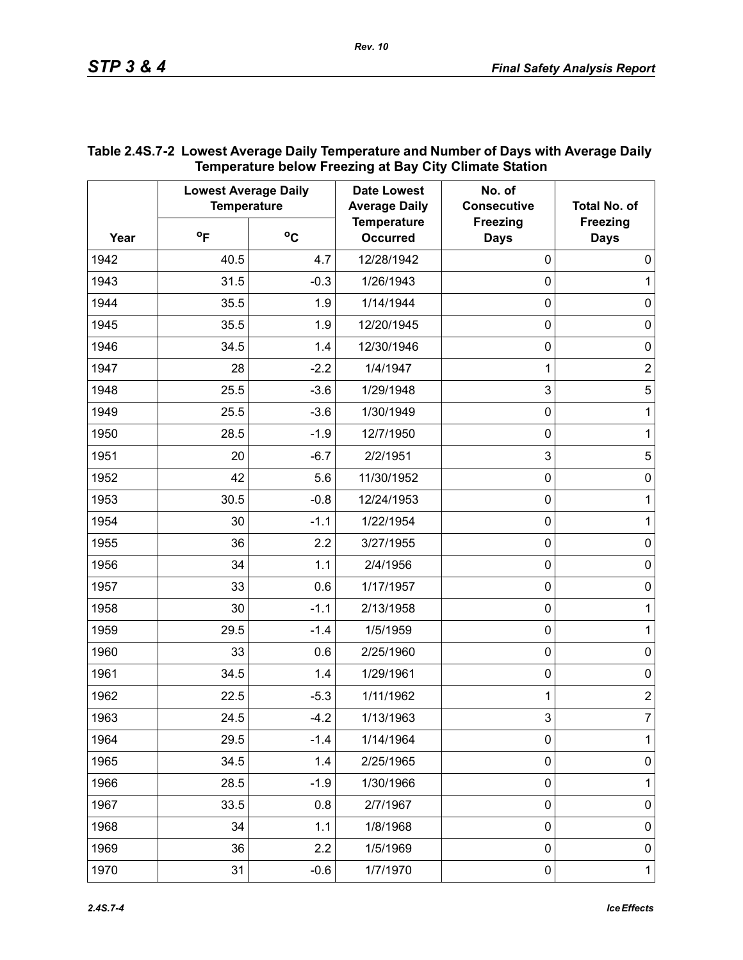|      | <b>Lowest Average Daily</b><br><b>Temperature</b> |             | <b>Date Lowest</b><br><b>Average Daily</b> | No. of<br><b>Consecutive</b>   | <b>Total No. of</b>            |
|------|---------------------------------------------------|-------------|--------------------------------------------|--------------------------------|--------------------------------|
| Year | $^{\circ}$ F                                      | $\rm ^{o}C$ | <b>Temperature</b><br><b>Occurred</b>      | <b>Freezing</b><br><b>Days</b> | <b>Freezing</b><br><b>Days</b> |
| 1942 | 40.5                                              | 4.7         | 12/28/1942                                 | $\mathbf 0$                    | 0                              |
| 1943 | 31.5                                              | $-0.3$      | 1/26/1943                                  | $\mathbf 0$                    | 1                              |
| 1944 | 35.5                                              | 1.9         | 1/14/1944                                  | $\mathbf 0$                    | $\pmb{0}$                      |
| 1945 | 35.5                                              | 1.9         | 12/20/1945                                 | $\boldsymbol{0}$               | $\pmb{0}$                      |
| 1946 | 34.5                                              | 1.4         | 12/30/1946                                 | $\mathbf 0$                    | $\pmb{0}$                      |
| 1947 | 28                                                | $-2.2$      | 1/4/1947                                   | 1                              | $\mathbf 2$                    |
| 1948 | 25.5                                              | $-3.6$      | 1/29/1948                                  | 3                              | $\sqrt{5}$                     |
| 1949 | 25.5                                              | $-3.6$      | 1/30/1949                                  | $\boldsymbol{0}$               | 1                              |
| 1950 | 28.5                                              | $-1.9$      | 12/7/1950                                  | $\mathbf 0$                    | 1                              |
| 1951 | 20                                                | $-6.7$      | 2/2/1951                                   | $\mathbf{3}$                   | 5                              |
| 1952 | 42                                                | 5.6         | 11/30/1952                                 | $\mathbf 0$                    | 0                              |
| 1953 | 30.5                                              | $-0.8$      | 12/24/1953                                 | $\boldsymbol{0}$               | 1                              |
| 1954 | 30                                                | $-1.1$      | 1/22/1954                                  | $\mathbf 0$                    | 1                              |
| 1955 | 36                                                | 2.2         | 3/27/1955                                  | $\boldsymbol{0}$               | $\pmb{0}$                      |
| 1956 | 34                                                | 1.1         | 2/4/1956                                   | $\mathbf 0$                    | $\pmb{0}$                      |
| 1957 | 33                                                | 0.6         | 1/17/1957                                  | $\boldsymbol{0}$               | $\pmb{0}$                      |
| 1958 | 30                                                | $-1.1$      | 2/13/1958                                  | $\mathbf 0$                    | 1                              |
| 1959 | 29.5                                              | $-1.4$      | 1/5/1959                                   | $\boldsymbol{0}$               | 1                              |
| 1960 | 33                                                | 0.6         | 2/25/1960                                  | $\mathbf 0$                    | $\pmb{0}$                      |
| 1961 | 34.5                                              | 1.4         | 1/29/1961                                  | $\boldsymbol{0}$               | $\pmb{0}$                      |
| 1962 | 22.5                                              | $-5.3$      | 1/11/1962                                  | 1                              | $\overline{c}$                 |
| 1963 | 24.5                                              | $-4.2$      | 1/13/1963                                  | 3                              | 7                              |
| 1964 | 29.5                                              | $-1.4$      | 1/14/1964                                  | $\mathbf 0$                    | 1                              |
| 1965 | 34.5                                              | 1.4         | 2/25/1965                                  | $\pmb{0}$                      | $\pmb{0}$                      |
| 1966 | 28.5                                              | $-1.9$      | 1/30/1966                                  | $\boldsymbol{0}$               | 1                              |
| 1967 | 33.5                                              | 0.8         | 2/7/1967                                   | $\mathbf 0$                    | $\pmb{0}$                      |
| 1968 | 34                                                | 1.1         | 1/8/1968                                   | $\pmb{0}$                      | $\pmb{0}$                      |
| 1969 | 36                                                | 2.2         | 1/5/1969                                   | $\mathbf 0$                    | $\pmb{0}$                      |
| 1970 | 31                                                | $-0.6$      | 1/7/1970                                   | $\pmb{0}$                      | $\mathbf{1}$                   |

### **Table 2.4S.7-2 Lowest Average Daily Temperature and Number of Days with Average Daily Temperature below Freezing at Bay City Climate Station**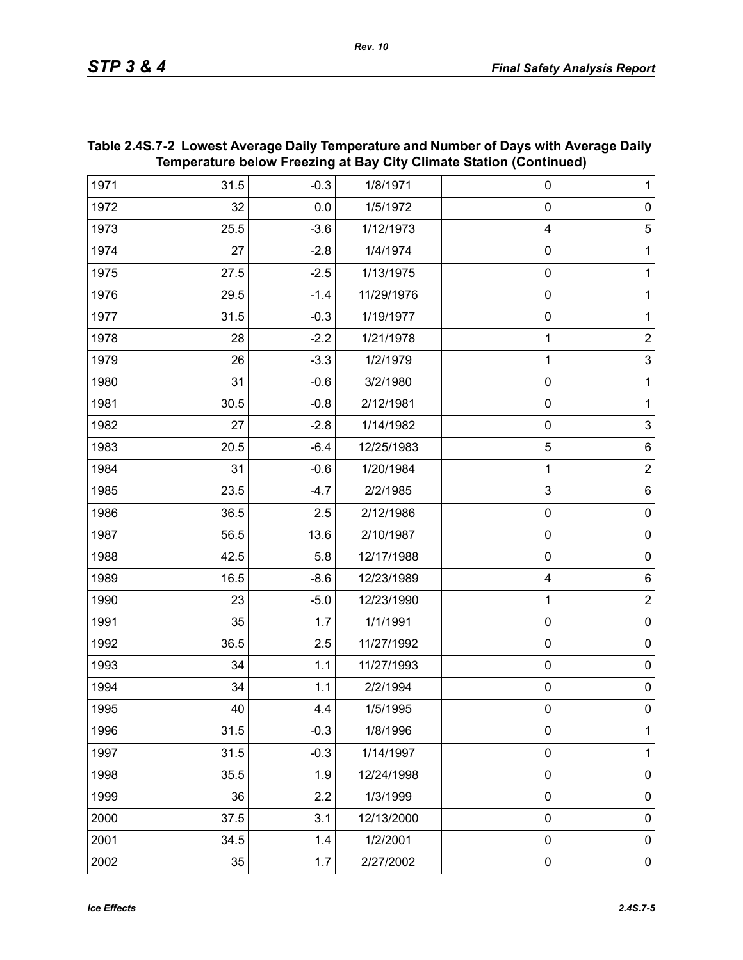| 31.5 | $-0.3$  | 1/8/1971   | $\pmb{0}$        | $\mathbf{1}$   |
|------|---------|------------|------------------|----------------|
| 32   | $0.0\,$ | 1/5/1972   | $\mathbf 0$      | $\pmb{0}$      |
| 25.5 | $-3.6$  | 1/12/1973  | 4                | $\overline{5}$ |
| 27   | $-2.8$  | 1/4/1974   | $\mathbf 0$      | $\mathbf 1$    |
| 27.5 | $-2.5$  | 1/13/1975  | $\pmb{0}$        | $\mathbf 1$    |
| 29.5 | $-1.4$  | 11/29/1976 | $\pmb{0}$        | $\mathbf{1}$   |
| 31.5 | $-0.3$  | 1/19/1977  | $\pmb{0}$        | 1              |
| 28   | $-2.2$  | 1/21/1978  | 1                | $\mathbf 2$    |
| 26   | $-3.3$  | 1/2/1979   | 1                | $\mathsf 3$    |
| 31   | $-0.6$  | 3/2/1980   | $\pmb{0}$        | $\mathbf 1$    |
| 30.5 | $-0.8$  | 2/12/1981  | $\pmb{0}$        | $\mathbf 1$    |
| 27   | $-2.8$  | 1/14/1982  | $\pmb{0}$        | $\mathfrak{S}$ |
| 20.5 | $-6.4$  | 12/25/1983 | 5                | $\,6$          |
| 31   | $-0.6$  | 1/20/1984  | 1                | $\mathbf 2$    |
| 23.5 | $-4.7$  | 2/2/1985   | 3                | $\,6$          |
| 36.5 | 2.5     | 2/12/1986  | $\pmb{0}$        | $\pmb{0}$      |
| 56.5 | 13.6    | 2/10/1987  | $\pmb{0}$        | $\pmb{0}$      |
| 42.5 | 5.8     | 12/17/1988 | $\pmb{0}$        | $\pmb{0}$      |
| 16.5 | $-8.6$  | 12/23/1989 | 4                | $\,6$          |
| 23   | $-5.0$  | 12/23/1990 | 1                | $\mathbf 2$    |
| 35   | 1.7     | 1/1/1991   | $\pmb{0}$        | $\pmb{0}$      |
| 36.5 | 2.5     | 11/27/1992 | $\pmb{0}$        | $\pmb{0}$      |
| 34   | $1.1$   | 11/27/1993 | $\pmb{0}$        | $\pmb{0}$      |
| 34   | 1.1     | 2/2/1994   | $\pmb{0}$        | $\pmb{0}$      |
| 40   | 4.4     | 1/5/1995   | $\pmb{0}$        | $\pmb{0}$      |
| 31.5 | $-0.3$  | 1/8/1996   | $\boldsymbol{0}$ | $\mathbf{1}$   |
| 31.5 | $-0.3$  | 1/14/1997  | $\boldsymbol{0}$ | $\mathbf{1}$   |
| 35.5 | 1.9     | 12/24/1998 | $\pmb{0}$        | $\pmb{0}$      |
| 36   | 2.2     | 1/3/1999   | $\boldsymbol{0}$ | $\pmb{0}$      |
| 37.5 | 3.1     | 12/13/2000 | $\pmb{0}$        | $\pmb{0}$      |
| 34.5 | 1.4     | 1/2/2001   | $\pmb{0}$        | $\pmb{0}$      |
| 35   | 1.7     | 2/27/2002  | $\pmb{0}$        | $\pmb{0}$      |
|      |         |            |                  |                |

### **Table 2.4S.7-2 Lowest Average Daily Temperature and Number of Days with Average Daily Temperature below Freezing at Bay City Climate Station (Continued)**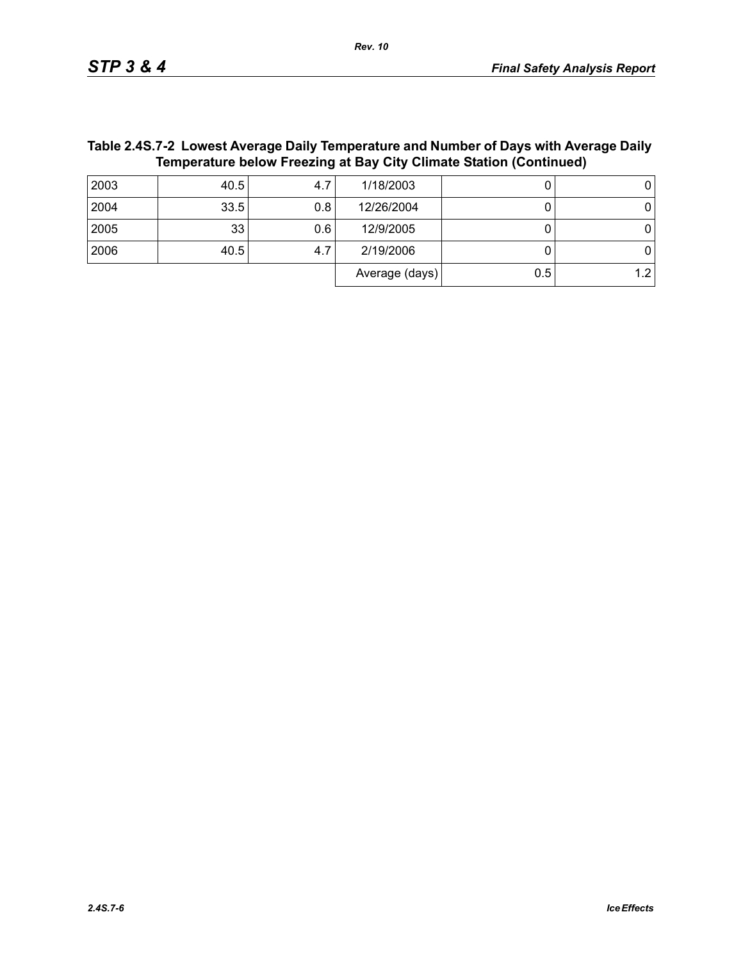| Table 2.4S.7-2  Lowest Average Daily Temperature and Number of Days with Average Daily |  |  |  |  |  |  |  |
|----------------------------------------------------------------------------------------|--|--|--|--|--|--|--|
| <b>Temperature below Freezing at Bay City Climate Station (Continued)</b>              |  |  |  |  |  |  |  |

| 2003 | 40.5 | 4.7 | 1/18/2003      |     | 0   |
|------|------|-----|----------------|-----|-----|
| 2004 | 33.5 | 0.8 | 12/26/2004     |     |     |
| 2005 | 33   | 0.6 | 12/9/2005      |     |     |
| 2006 | 40.5 | 4.7 | 2/19/2006      |     |     |
|      |      |     | Average (days) | 0.5 | 1.2 |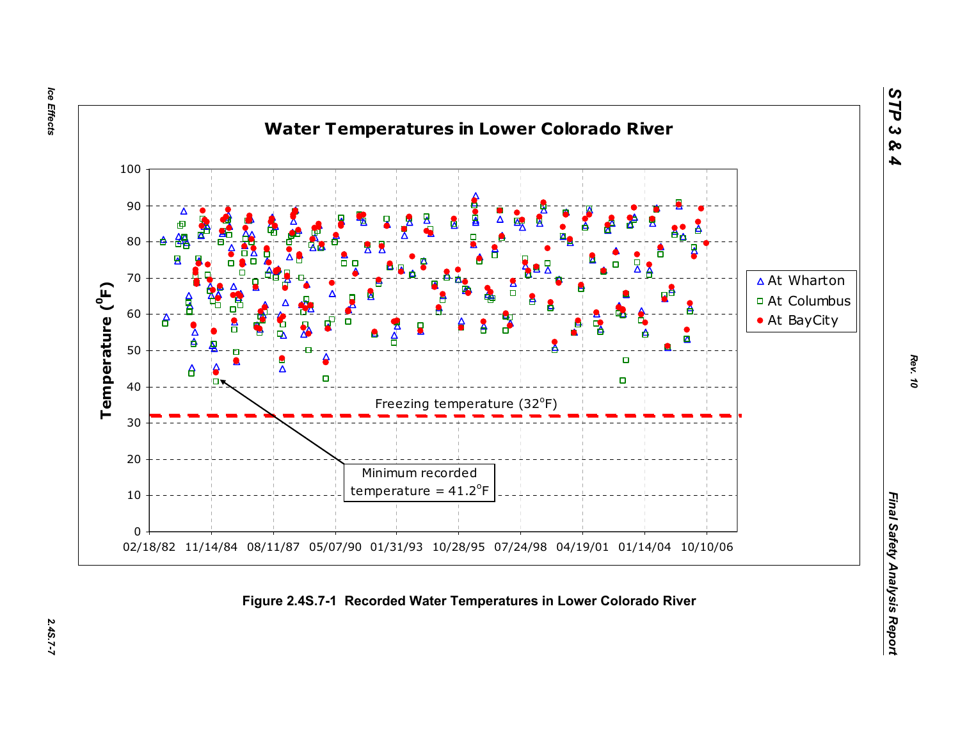Ice Effects *Ice Effects 2.4S.7-7*

2.45.7-7



*STP 3 & 4*